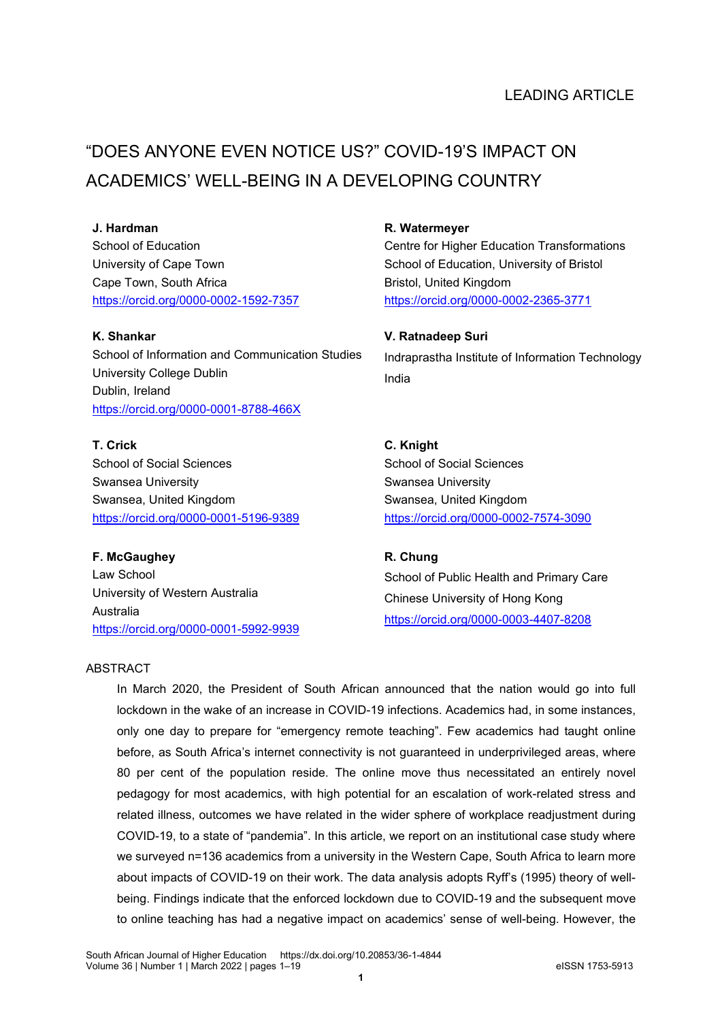# "DOES ANYONE EVEN NOTICE US?" COVID-19'S IMPACT ON ACADEMICS' WELL-BEING IN A DEVELOPING COUNTRY

#### **J. Hardman**

School of Education University of Cape Town Cape Town, South Africa <https://orcid.org/0000-0002-1592-7357>

#### **K. Shankar**

School of Information and Communication Studies University College Dublin Dublin, Ireland <https://orcid.org/0000-0001-8788-466X>

#### **T. Crick**

School of Social Sciences Swansea University Swansea, United Kingdom <https://orcid.org/0000-0001-5196-9389>

**F. McGaughey** Law School University of Western Australia Australia <https://orcid.org/0000-0001-5992-9939>

#### **R. Watermeyer**

Centre for Higher Education Transformations School of Education, University of Bristol Bristol, United Kingdom <https://orcid.org/0000-0002-2365-3771>

#### **V. Ratnadeep Suri**

Indraprastha Institute of Information Technology India

#### **C. Knight**

School of Social Sciences Swansea University Swansea, United Kingdom <https://orcid.org/0000-0002-7574-3090>

**R. Chung** School of Public Health and Primary Care Chinese University of Hong Kong <https://orcid.org/0000-0003-4407-8208>

#### ABSTRACT

In March 2020, the President of South African announced that the nation would go into full lockdown in the wake of an increase in COVID-19 infections. Academics had, in some instances, only one day to prepare for "emergency remote teaching". Few academics had taught online before, as South Africa's internet connectivity is not guaranteed in underprivileged areas, where 80 per cent of the population reside. The online move thus necessitated an entirely novel pedagogy for most academics, with high potential for an escalation of work-related stress and related illness, outcomes we have related in the wider sphere of workplace readjustment during COVID-19, to a state of "pandemia". In this article, we report on an institutional case study where we surveyed n=136 academics from a university in the Western Cape, South Africa to learn more about impacts of COVID-19 on their work. The data analysis adopts Ryff's (1995) theory of wellbeing. Findings indicate that the enforced lockdown due to COVID-19 and the subsequent move to online teaching has had a negative impact on academics' sense of well-being. However, the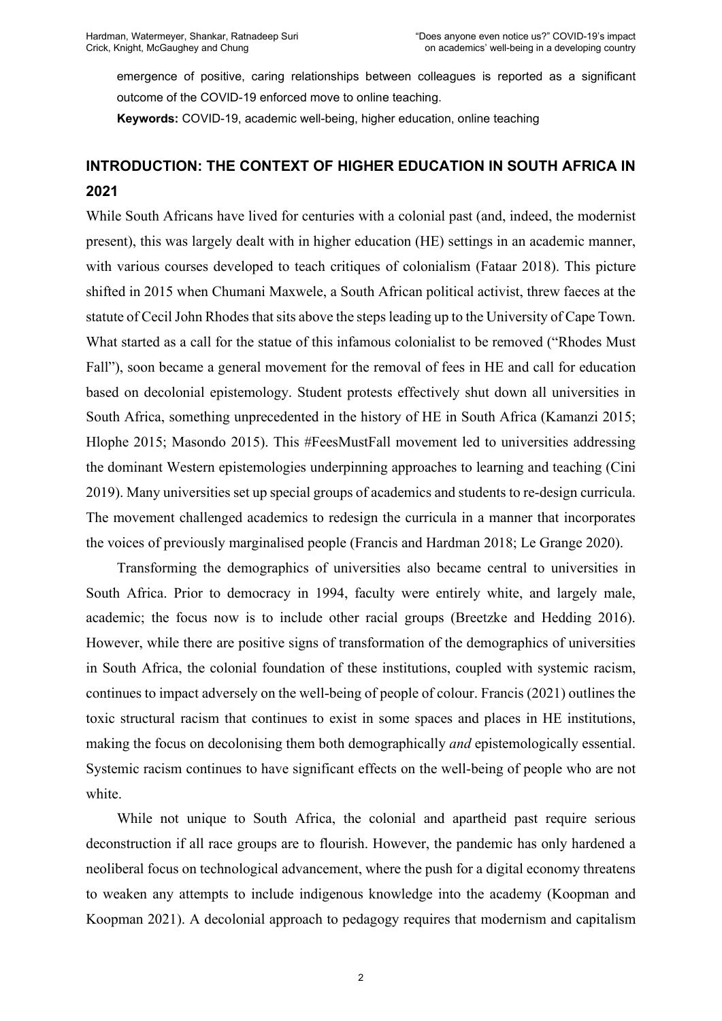emergence of positive, caring relationships between colleagues is reported as a significant outcome of the COVID-19 enforced move to online teaching.

**Keywords:** COVID-19, academic well-being, higher education, online teaching

# **INTRODUCTION: THE CONTEXT OF HIGHER EDUCATION IN SOUTH AFRICA IN 2021**

While South Africans have lived for centuries with a colonial past (and, indeed, the modernist present), this was largely dealt with in higher education (HE) settings in an academic manner, with various courses developed to teach critiques of colonialism (Fataar 2018). This picture shifted in 2015 when Chumani Maxwele, a South African political activist, threw faeces at the statute of Cecil John Rhodes that sits above the steps leading up to the University of Cape Town. What started as a call for the statue of this infamous colonialist to be removed ("Rhodes Must Fall"), soon became a general movement for the removal of fees in HE and call for education based on decolonial epistemology. Student protests effectively shut down all universities in South Africa, something unprecedented in the history of HE in South Africa (Kamanzi 2015; Hlophe 2015; Masondo 2015). This #FeesMustFall movement led to universities addressing the dominant Western epistemologies underpinning approaches to learning and teaching (Cini 2019). Many universities set up special groups of academics and students to re-design curricula. The movement challenged academics to redesign the curricula in a manner that incorporates the voices of previously marginalised people (Francis and Hardman 2018; Le Grange 2020).

Transforming the demographics of universities also became central to universities in South Africa. Prior to democracy in 1994, faculty were entirely white, and largely male, academic; the focus now is to include other racial groups (Breetzke and Hedding 2016). However, while there are positive signs of transformation of the demographics of universities in South Africa, the colonial foundation of these institutions, coupled with systemic racism, continues to impact adversely on the well-being of people of colour. Francis (2021) outlines the toxic structural racism that continues to exist in some spaces and places in HE institutions, making the focus on decolonising them both demographically *and* epistemologically essential. Systemic racism continues to have significant effects on the well-being of people who are not white.

While not unique to South Africa, the colonial and apartheid past require serious deconstruction if all race groups are to flourish. However, the pandemic has only hardened a neoliberal focus on technological advancement, where the push for a digital economy threatens to weaken any attempts to include indigenous knowledge into the academy (Koopman and Koopman 2021). A decolonial approach to pedagogy requires that modernism and capitalism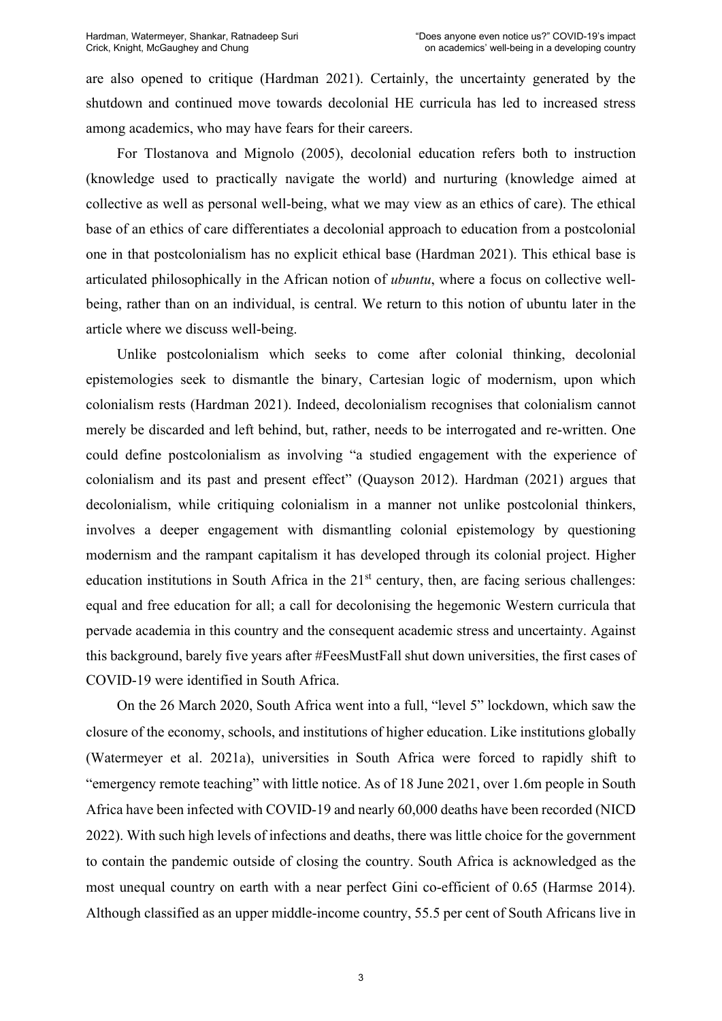are also opened to critique (Hardman 2021). Certainly, the uncertainty generated by the shutdown and continued move towards decolonial HE curricula has led to increased stress among academics, who may have fears for their careers.

For Tlostanova and Mignolo (2005), decolonial education refers both to instruction (knowledge used to practically navigate the world) and nurturing (knowledge aimed at collective as well as personal well-being, what we may view as an ethics of care). The ethical base of an ethics of care differentiates a decolonial approach to education from a postcolonial one in that postcolonialism has no explicit ethical base (Hardman 2021). This ethical base is articulated philosophically in the African notion of *ubuntu*, where a focus on collective wellbeing, rather than on an individual, is central. We return to this notion of ubuntu later in the article where we discuss well-being.

Unlike postcolonialism which seeks to come after colonial thinking, decolonial epistemologies seek to dismantle the binary, Cartesian logic of modernism, upon which colonialism rests (Hardman 2021). Indeed, decolonialism recognises that colonialism cannot merely be discarded and left behind, but, rather, needs to be interrogated and re-written. One could define postcolonialism as involving "a studied engagement with the experience of colonialism and its past and present effect" (Quayson 2012). Hardman (2021) argues that decolonialism, while critiquing colonialism in a manner not unlike postcolonial thinkers, involves a deeper engagement with dismantling colonial epistemology by questioning modernism and the rampant capitalism it has developed through its colonial project. Higher education institutions in South Africa in the  $21<sup>st</sup>$  century, then, are facing serious challenges: equal and free education for all; a call for decolonising the hegemonic Western curricula that pervade academia in this country and the consequent academic stress and uncertainty. Against this background, barely five years after #FeesMustFall shut down universities, the first cases of COVID-19 were identified in South Africa.

On the 26 March 2020, South Africa went into a full, "level 5" lockdown, which saw the closure of the economy, schools, and institutions of higher education. Like institutions globally (Watermeyer et al. 2021a), universities in South Africa were forced to rapidly shift to "emergency remote teaching" with little notice. As of 18 June 2021, over 1.6m people in South Africa have been infected with COVID-19 and nearly 60,000 deaths have been recorded (NICD 2022). With such high levels of infections and deaths, there was little choice for the government to contain the pandemic outside of closing the country. South Africa is acknowledged as the most unequal country on earth with a near perfect Gini co-efficient of 0.65 (Harmse 2014). Although classified as an upper middle-income country, 55.5 per cent of South Africans live in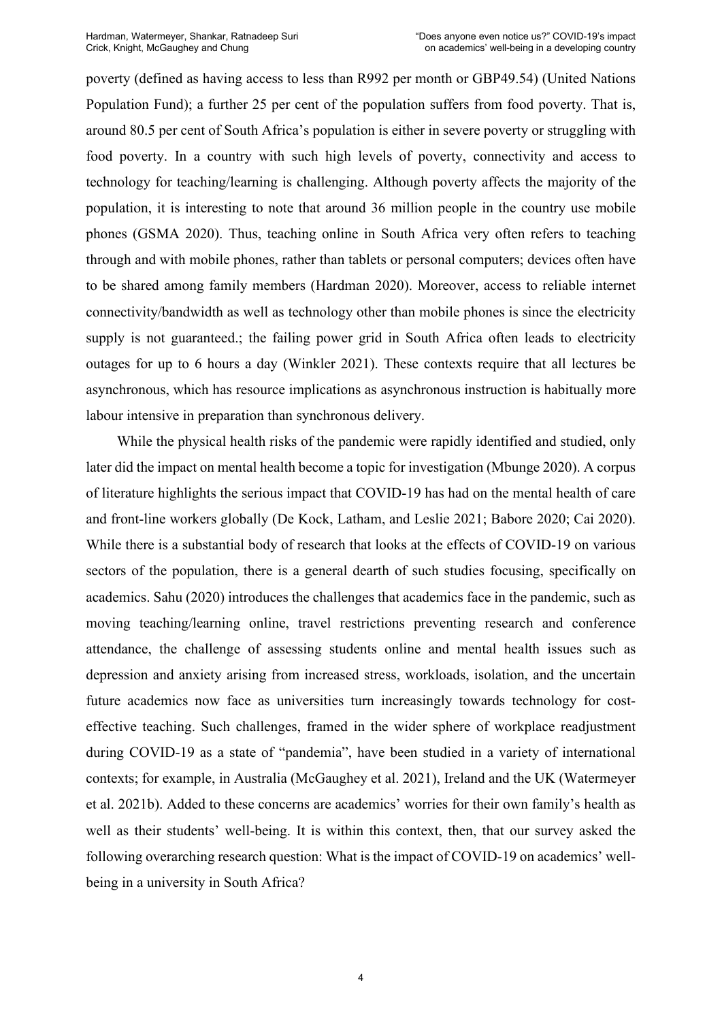poverty (defined as having access to less than R992 per month or GBP49.54) (United Nations Population Fund); a further 25 per cent of the population suffers from food poverty. That is, around 80.5 per cent of South Africa's population is either in severe poverty or struggling with food poverty. In a country with such high levels of poverty, connectivity and access to technology for teaching/learning is challenging. Although poverty affects the majority of the population, it is interesting to note that around 36 million people in the country use mobile phones [\(GSMA 2020\)](https://www.statista.com/statistics/685134/south-africa-digital-population/). Thus, teaching online in South Africa very often refers to teaching through and with mobile phones, rather than tablets or personal computers; devices often have to be shared among family members (Hardman 2020). Moreover, access to reliable internet connectivity/bandwidth as well as technology other than mobile phones is since the electricity supply is not guaranteed.; the failing power grid in South Africa often leads to electricity outages for up to 6 hours a day (Winkler 2021). These contexts require that all lectures be asynchronous, which has resource implications as asynchronous instruction is habitually more labour intensive in preparation than synchronous delivery.

While the physical health risks of the pandemic were rapidly identified and studied, only later did the impact on mental health become a topic for investigation (Mbunge 2020). A corpus of literature highlights the serious impact that COVID-19 has had on the mental health of care and front-line workers globally (De Kock, Latham, and Leslie 2021; Babore 2020; Cai 2020). While there is a substantial body of research that looks at the effects of COVID-19 on various sectors of the population, there is a general dearth of such studies focusing, specifically on academics. Sahu (2020) introduces the challenges that academics face in the pandemic, such as moving teaching/learning online, travel restrictions preventing research and conference attendance, the challenge of assessing students online and mental health issues such as depression and anxiety arising from increased stress, workloads, isolation, and the uncertain future academics now face as universities turn increasingly towards technology for costeffective teaching. Such challenges, framed in the wider sphere of workplace readjustment during COVID-19 as a state of "pandemia", have been studied in a variety of international contexts; for example, in Australia (McGaughey et al. 2021), Ireland and the UK (Watermeyer et al. 2021b). Added to these concerns are academics' worries for their own family's health as well as their students' well-being. It is within this context, then, that our survey asked the following overarching research question: What is the impact of COVID-19 on academics' wellbeing in a university in South Africa?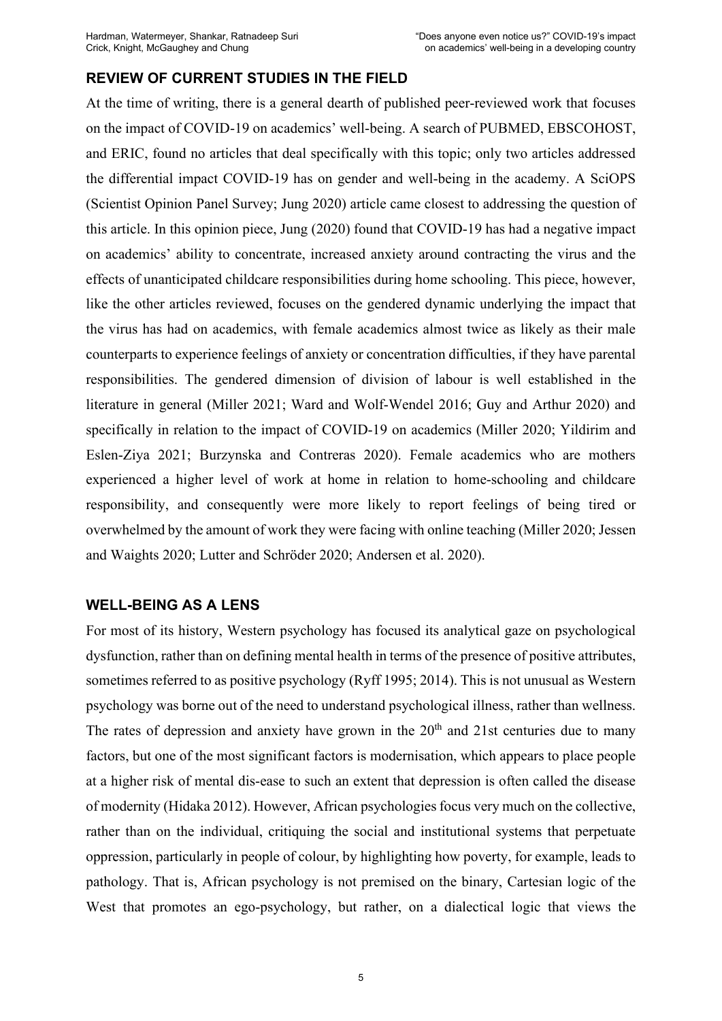### **REVIEW OF CURRENT STUDIES IN THE FIELD**

At the time of writing, there is a general dearth of published peer-reviewed work that focuses on the impact of COVID-19 on academics' well-being. A search of PUBMED, EBSCOHOST, and ERIC, found no articles that deal specifically with this topic; only two articles addressed the differential impact COVID-19 has on gender and well-being in the academy. A SciOPS (Scientist Opinion Panel Survey; Jung 2020) article came closest to addressing the question of this article. In this opinion piece, Jung (2020) found that COVID-19 has had a negative impact on academics' ability to concentrate, increased anxiety around contracting the virus and the effects of unanticipated childcare responsibilities during home schooling. This piece, however, like the other articles reviewed, focuses on the gendered dynamic underlying the impact that the virus has had on academics, with female academics almost twice as likely as their male counterparts to experience feelings of anxiety or concentration difficulties, if they have parental responsibilities. The gendered dimension of division of labour is well established in the literature in general (Miller 2021; Ward and Wolf-Wendel 2016; Guy and Arthur 2020) and specifically in relation to the impact of COVID-19 on academics (Miller 2020; Yildirim and Eslen-Ziya 2021; Burzynska and Contreras 2020). Female academics who are mothers experienced a higher level of work at home in relation to home-schooling and childcare responsibility, and consequently were more likely to report feelings of being tired or overwhelmed by the amount of work they were facing with online teaching (Miller 2020; Jessen and Waights 2020; Lutter and Schröder 2020; Andersen et al. 2020).

#### **WELL-BEING AS A LENS**

For most of its history, Western psychology has focused its analytical gaze on psychological dysfunction, rather than on defining mental health in terms of the presence of positive attributes, sometimes referred to as positive psychology (Ryff 1995; 2014). This is not unusual as Western psychology was borne out of the need to understand psychological illness, rather than wellness. The rates of depression and anxiety have grown in the  $20<sup>th</sup>$  and 21st centuries due to many factors, but one of the most significant factors is modernisation, which appears to place people at a higher risk of mental dis-ease to such an extent that depression is often called the disease of modernity (Hidaka 2012). However, African psychologies focus very much on the collective, rather than on the individual, critiquing the social and institutional systems that perpetuate oppression, particularly in people of colour, by highlighting how poverty, for example, leads to pathology. That is, African psychology is not premised on the binary, Cartesian logic of the West that promotes an ego-psychology, but rather, on a dialectical logic that views the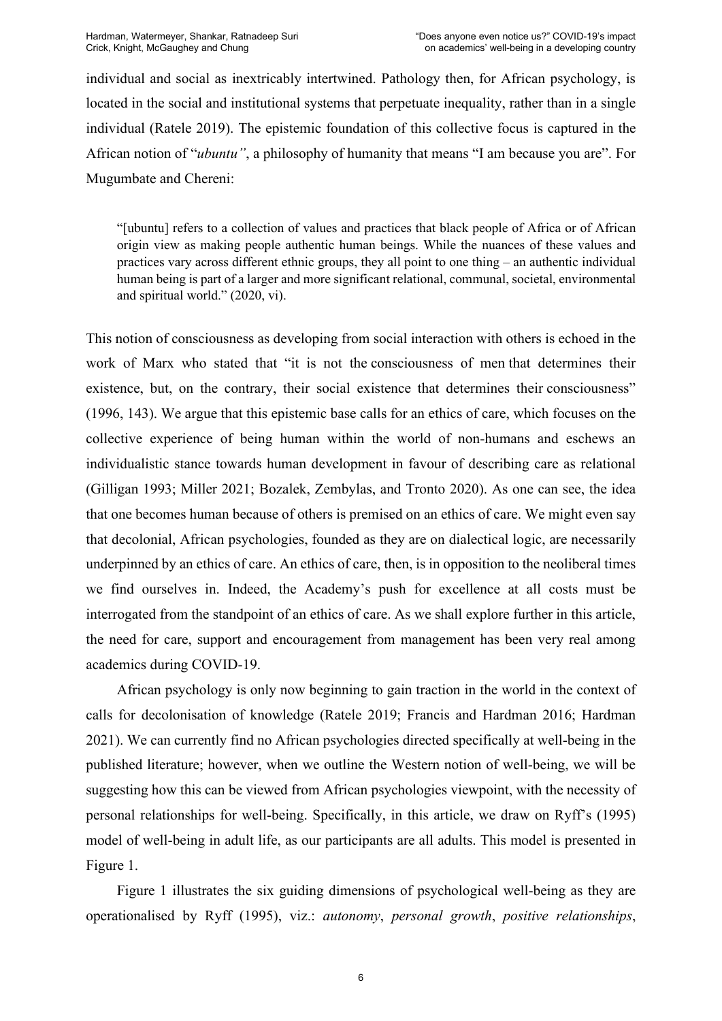individual and social as inextricably intertwined. Pathology then, for African psychology, is located in the social and institutional systems that perpetuate inequality, rather than in a single individual (Ratele 2019). The epistemic foundation of this collective focus is captured in the African notion of "*ubuntu"*, a philosophy of humanity that means "I am because you are". For Mugumbate and Chereni:

"[ubuntu] refers to a collection of values and practices that black people of Africa or of African origin view as making people authentic human beings. While the nuances of these values and practices vary across different ethnic groups, they all point to one thing – an authentic individual human being is part of a larger and more significant relational, communal, societal, environmental and spiritual world." (2020, vi).

This notion of consciousness as developing from social interaction with others is echoed in the work of Marx who stated that "it is not the consciousness of men that determines their existence, but, on the contrary, their social existence that determines their consciousness" (1996, 143). We argue that this epistemic base calls for an ethics of care, which focuses on the collective experience of being human within the world of non-humans and eschews an individualistic stance towards human development in favour of describing care as relational (Gilligan 1993; Miller 2021; Bozalek, Zembylas, and Tronto 2020). As one can see, the idea that one becomes human because of others is premised on an ethics of care. We might even say that decolonial, African psychologies, founded as they are on dialectical logic, are necessarily underpinned by an ethics of care. An ethics of care, then, is in opposition to the neoliberal times we find ourselves in. Indeed, the Academy's push for excellence at all costs must be interrogated from the standpoint of an ethics of care. As we shall explore further in this article, the need for care, support and encouragement from management has been very real among academics during COVID-19.

African psychology is only now beginning to gain traction in the world in the context of calls for decolonisation of knowledge (Ratele 2019; Francis and Hardman 2016; Hardman 2021). We can currently find no African psychologies directed specifically at well-being in the published literature; however, when we outline the Western notion of well-being, we will be suggesting how this can be viewed from African psychologies viewpoint, with the necessity of personal relationships for well-being. Specifically, in this article, we draw on Ryff's (1995) model of well-being in adult life, as our participants are all adults. This model is presented in Figure 1.

Figure 1 illustrates the six guiding dimensions of psychological well-being as they are operationalised by Ryff (1995), viz.: *autonomy*, *personal growth*, *positive relationships*,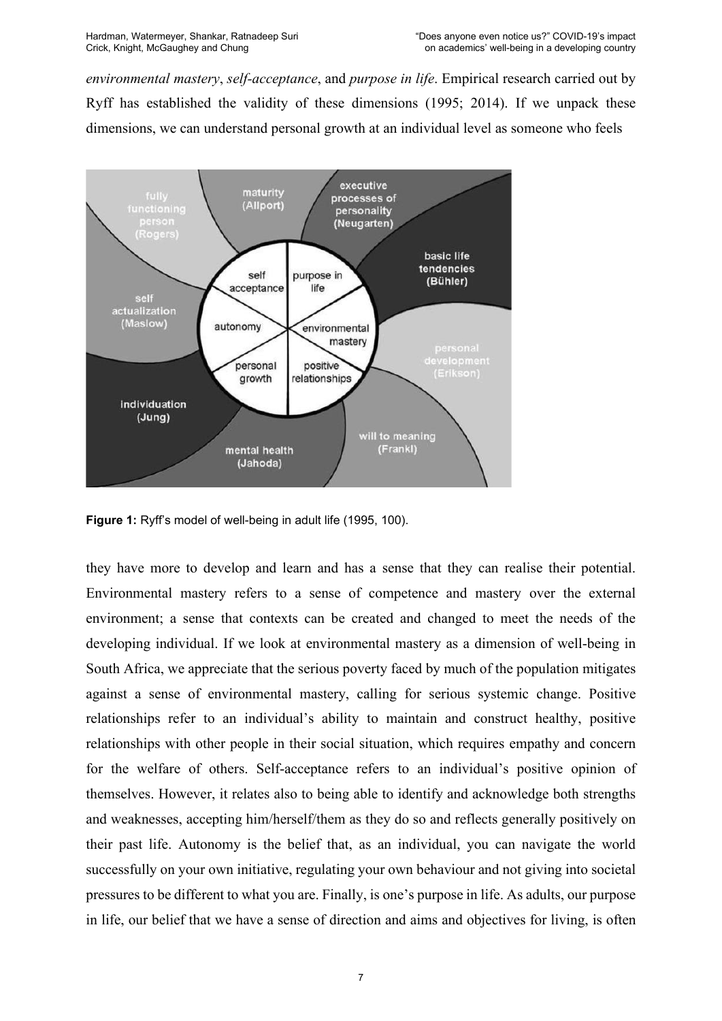*environmental mastery*, *self-acceptance*, and *purpose in life*. Empirical research carried out by Ryff has established the validity of these dimensions (1995; 2014). If we unpack these dimensions, we can understand personal growth at an individual level as someone who feels



**Figure 1:** Ryff's model of well-being in adult life (1995, 100).

they have more to develop and learn and has a sense that they can realise their potential. Environmental mastery refers to a sense of competence and mastery over the external environment; a sense that contexts can be created and changed to meet the needs of the developing individual. If we look at environmental mastery as a dimension of well-being in South Africa, we appreciate that the serious poverty faced by much of the population mitigates against a sense of environmental mastery, calling for serious systemic change. Positive relationships refer to an individual's ability to maintain and construct healthy, positive relationships with other people in their social situation, which requires empathy and concern for the welfare of others. Self-acceptance refers to an individual's positive opinion of themselves. However, it relates also to being able to identify and acknowledge both strengths and weaknesses, accepting him/herself/them as they do so and reflects generally positively on their past life. Autonomy is the belief that, as an individual, you can navigate the world successfully on your own initiative, regulating your own behaviour and not giving into societal pressures to be different to what you are. Finally, is one's purpose in life. As adults, our purpose in life, our belief that we have a sense of direction and aims and objectives for living, is often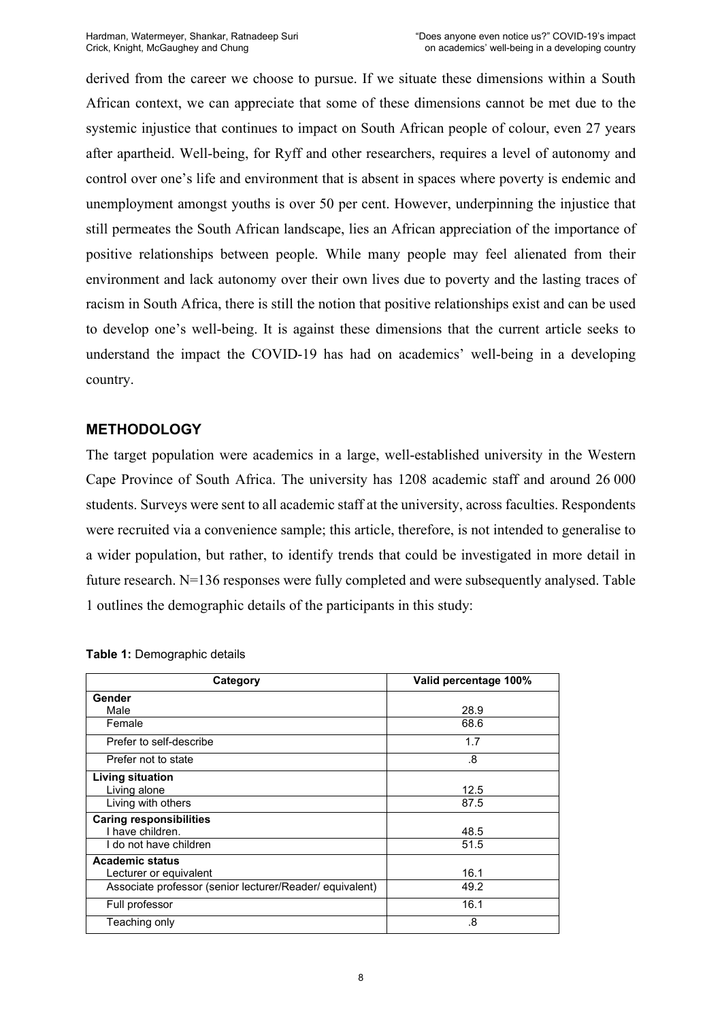derived from the career we choose to pursue. If we situate these dimensions within a South African context, we can appreciate that some of these dimensions cannot be met due to the systemic injustice that continues to impact on South African people of colour, even 27 years after apartheid. Well-being, for Ryff and other researchers, requires a level of autonomy and control over one's life and environment that is absent in spaces where poverty is endemic and unemployment amongst youths is over 50 per cent. However, underpinning the injustice that still permeates the South African landscape, lies an African appreciation of the importance of positive relationships between people. While many people may feel alienated from their environment and lack autonomy over their own lives due to poverty and the lasting traces of racism in South Africa, there is still the notion that positive relationships exist and can be used to develop one's well-being. It is against these dimensions that the current article seeks to understand the impact the COVID-19 has had on academics' well-being in a developing country.

#### **METHODOLOGY**

The target population were academics in a large, well-established university in the Western Cape Province of South Africa. The university has 1208 academic staff and around 26 000 students. Surveys were sent to all academic staff at the university, across faculties. Respondents were recruited via a convenience sample; this article, therefore, is not intended to generalise to a wider population, but rather, to identify trends that could be investigated in more detail in future research. N=136 responses were fully completed and were subsequently analysed. Table 1 outlines the demographic details of the participants in this study:

| Category                                                 | Valid percentage 100% |  |  |  |  |  |
|----------------------------------------------------------|-----------------------|--|--|--|--|--|
| Gender                                                   |                       |  |  |  |  |  |
| Male                                                     | 28.9                  |  |  |  |  |  |
| Female                                                   | 68.6                  |  |  |  |  |  |
| Prefer to self-describe                                  | 1.7                   |  |  |  |  |  |
| Prefer not to state                                      | .8                    |  |  |  |  |  |
| <b>Living situation</b>                                  |                       |  |  |  |  |  |
| Living alone                                             | 12.5                  |  |  |  |  |  |
| Living with others                                       | 87.5                  |  |  |  |  |  |
| <b>Caring responsibilities</b>                           |                       |  |  |  |  |  |
| I have children.                                         | 48.5                  |  |  |  |  |  |
| I do not have children                                   | 51.5                  |  |  |  |  |  |
| <b>Academic status</b>                                   |                       |  |  |  |  |  |
| Lecturer or equivalent                                   | 16.1                  |  |  |  |  |  |
| Associate professor (senior lecturer/Reader/ equivalent) | 49.2                  |  |  |  |  |  |
| Full professor                                           | 16.1                  |  |  |  |  |  |
| Teaching only                                            | .8                    |  |  |  |  |  |

| Table 1: Demographic details |
|------------------------------|
|------------------------------|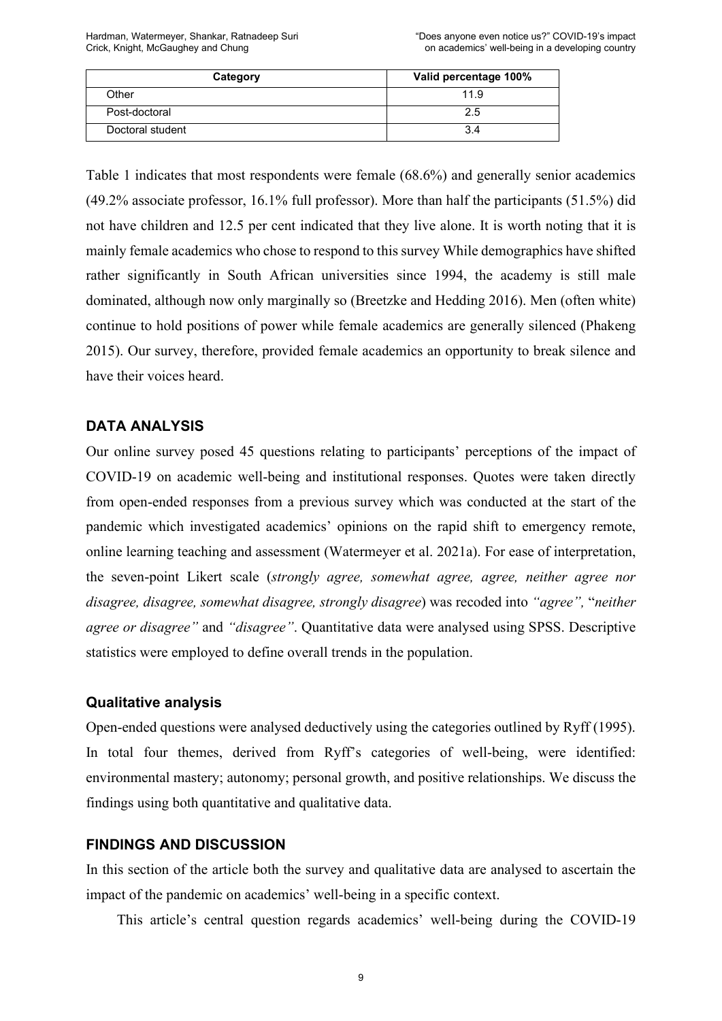| Category         | Valid percentage 100% |  |  |  |  |  |
|------------------|-----------------------|--|--|--|--|--|
| Other            | 11.9                  |  |  |  |  |  |
| Post-doctoral    | 2.5                   |  |  |  |  |  |
| Doctoral student |                       |  |  |  |  |  |

Table 1 indicates that most respondents were female (68.6%) and generally senior academics (49.2% associate professor, 16.1% full professor). More than half the participants (51.5%) did not have children and 12.5 per cent indicated that they live alone. It is worth noting that it is mainly female academics who chose to respond to this survey While demographics have shifted rather significantly in South African universities since 1994, the academy is still male dominated, although now only marginally so (Breetzke and Hedding 2016). Men (often white) continue to hold positions of power while female academics are generally silenced (Phakeng 2015). Our survey, therefore, provided female academics an opportunity to break silence and have their voices heard.

#### **DATA ANALYSIS**

Our online survey posed 45 questions relating to participants' perceptions of the impact of COVID-19 on academic well-being and institutional responses. Quotes were taken directly from open-ended responses from a previous survey which was conducted at the start of the pandemic which investigated academics' opinions on the rapid shift to emergency remote, online learning teaching and assessment (Watermeyer et al. 2021a). For ease of interpretation, the seven-point Likert scale (*strongly agree, somewhat agree, agree, neither agree nor disagree, disagree, somewhat disagree, strongly disagree*) was recoded into *"agree",* "*neither agree or disagree"* and *"disagree"*. Quantitative data were analysed using SPSS. Descriptive statistics were employed to define overall trends in the population.

#### **Qualitative analysis**

Open-ended questions were analysed deductively using the categories outlined by Ryff (1995). In total four themes, derived from Ryff's categories of well-being, were identified: environmental mastery; autonomy; personal growth, and positive relationships. We discuss the findings using both quantitative and qualitative data.

#### **FINDINGS AND DISCUSSION**

In this section of the article both the survey and qualitative data are analysed to ascertain the impact of the pandemic on academics' well-being in a specific context.

This article's central question regards academics' well-being during the COVID-19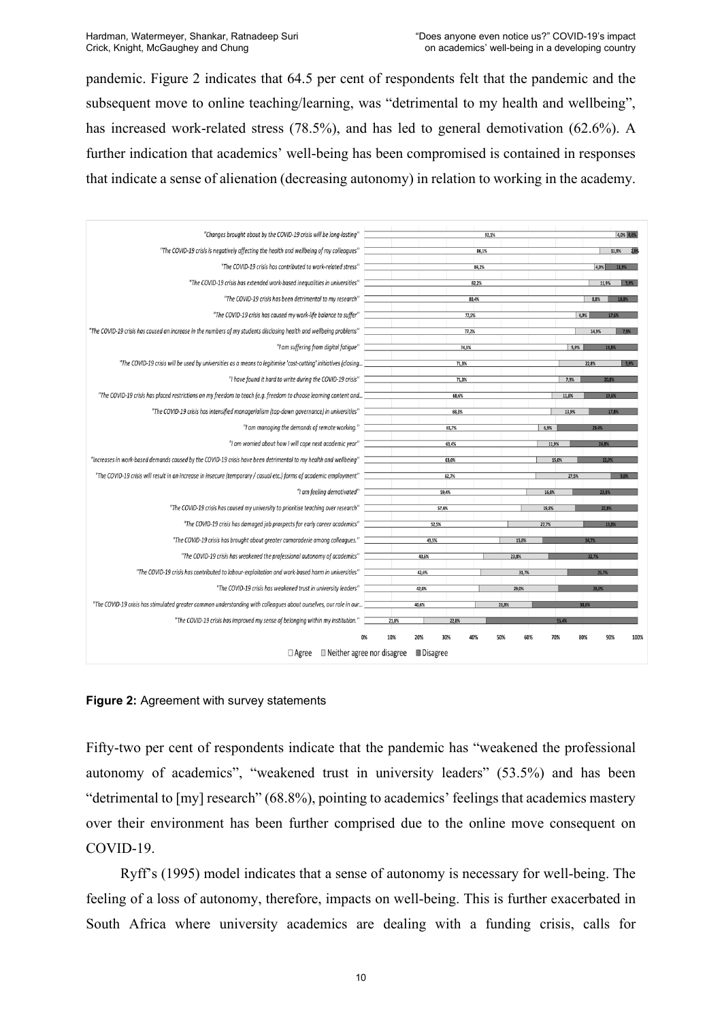pandemic. Figure 2 indicates that 64.5 per cent of respondents felt that the pandemic and the subsequent move to online teaching/learning, was "detrimental to my health and wellbeing", has increased work-related stress (78.5%), and has led to general demotivation (62.6%). A further indication that academics' well-being has been compromised is contained in responses that indicate a sense of alienation (decreasing autonomy) in relation to working in the academy.

| "Changes brought about by the COVID-19 crisis will be long-lasting"                                                 |       |                   |       | 92.1% |            |       |       |       | 4,0% 4,0%                |
|---------------------------------------------------------------------------------------------------------------------|-------|-------------------|-------|-------|------------|-------|-------|-------|--------------------------|
| "The COVID-19 crisis is negatively affecting the health and wellbeing of my colleagues"                             |       |                   |       | 86,1% |            |       |       |       | 11,9%<br>$\overline{20}$ |
| "The COVID-19 crisis has contributed to work-related stress"                                                        |       |                   |       | 84,2% |            |       |       | 4.0%  | 11.9%                    |
| "The COVID-19 crisis has extended work-based inequalities in universities"                                          |       |                   |       | 82,2% |            |       |       | 11.9% | 5.9%                     |
| "The COVID-19 crisis has been detrimental to my research"                                                           |       |                   |       | 80,4% |            |       |       | 8,8%  | 10.8%                    |
| "The COVID-19 crisis has caused my work-life balance to suffer"                                                     |       |                   | 77,5% |       |            |       | 4,9%  |       | 17.6%                    |
| "The COVID-19 crisis has caused an increase in the numbers of my students disclosing health and wellbeing problems" |       |                   | 77,2% |       |            |       |       | 14,9% | 7.9%                     |
| "I am suffering from digital fatigue"                                                                               |       |                   | 74,3% |       |            |       | 5.9%  |       | 19.8%                    |
| "The COVID-19 crisis will be used by universities as a means to legitimise 'cost-cutting' initiatives (closing      |       |                   | 71,3% |       |            |       |       | 22,8% | 5.9%                     |
| "I have found it hard to write during the COVID-19 crisis"                                                          |       |                   | 71,3% |       |            |       | 7,9%  | 20.8  |                          |
| "The COVID-19 crisis has placed restrictions on my freedom to teach (e.g. freedom to choose learning content and    |       |                   | 68,6% |       |            |       | 11,8% |       | 19.6%                    |
| "The COVID-19 crisis has intensified managerialism (top-down governance) in universities"                           |       |                   | 68,3% |       |            |       | 13,9% |       | 17.8%                    |
| "I am managing the demands of remote working."                                                                      |       |                   | 63,7% |       |            | 6.9%  |       | 29.45 |                          |
| "I am worried about how I will cope next academic year"                                                             |       |                   | 63,4% |       |            | 11.9% |       |       |                          |
| "Increases in work-based demands caused by the COVID-19 crisis have been detrimental to my health and wellbeing"    |       |                   | 63,0% |       |            | 15,0% |       | 22,0% |                          |
| "The COVID-19 crisis will result in an increase in insecure (temporary / casual etc.) forms of academic employment" |       |                   | 62,7% |       |            |       | 27,5% |       |                          |
| "I am feeling demotivated"                                                                                          |       |                   | 59,4% |       |            | 16,8% |       | 23.8% |                          |
| "The COVID-19 crisis has caused my university to prioritise teaching over research"                                 |       |                   | 57,4% |       |            | 19,8% |       | 22.8% |                          |
| "The COVID-19 crisis has damaged job prospects for early career academics"                                          |       | 52,5%             |       |       |            | 27.7% |       |       |                          |
| "The COVID-19 crisis has brought about greater camaraderie among colleagues."                                       |       | 49,5%             |       |       | 15,8%      |       |       | 34,7% |                          |
| "The COVID-19 crisis has weakened the professional autonomy of academics"                                           |       | 43,6%             |       |       | 23,8%      |       |       | 32.7% |                          |
| "The COVID-19 crisis has contributed to labour-exploitation and work-based harm in universities"                    |       | 42,6%             |       |       | 31,7%      |       |       | 25.7  |                          |
| "The COVID-19 crisis has weakened trust in university leaders"                                                      |       | 42,0%             |       |       | 29,0%      |       |       | 29.0  |                          |
| "The COVID-19 crisis has stimulated areater common understanding with colleagues about ourselves, our role in our   |       | 40,6%             |       |       | 20,8%      |       |       |       |                          |
| "The COVID-19 crisis has improved my sense of belonging within my institution."                                     | 21,8% |                   | 22,8% |       |            |       | 55,4% |       |                          |
|                                                                                                                     |       |                   |       |       |            |       |       |       |                          |
| 0%                                                                                                                  | 10%   | 20%               | 30%   | 40%   | 50%<br>60% | 70%   | 80%   |       | 100%<br>90%              |
| $\Box$ Neither agree nor disagree<br>$\Box$ Agree                                                                   |       | <b>■</b> Disagree |       |       |            |       |       |       |                          |

#### **Figure 2:** Agreement with survey statements

Fifty-two per cent of respondents indicate that the pandemic has "weakened the professional autonomy of academics", "weakened trust in university leaders" (53.5%) and has been "detrimental to [my] research" (68.8%), pointing to academics' feelings that academics mastery over their environment has been further comprised due to the online move consequent on COVID-19.

Ryff's (1995) model indicates that a sense of autonomy is necessary for well-being. The feeling of a loss of autonomy, therefore, impacts on well-being. This is further exacerbated in South Africa where university academics are dealing with a funding crisis, calls for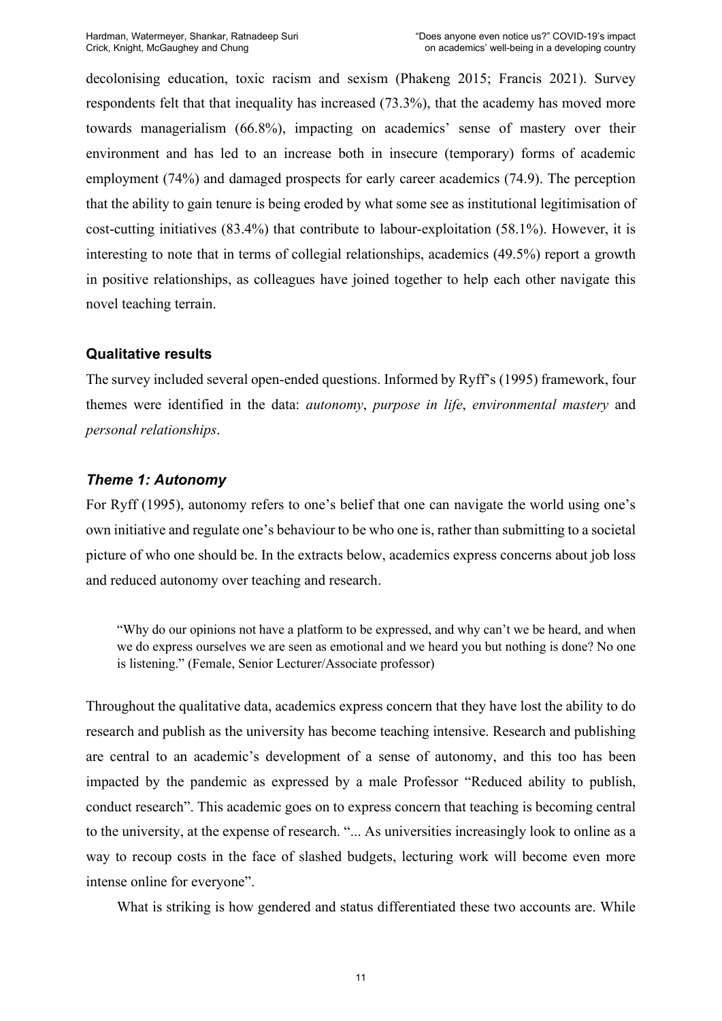decolonising education, toxic racism and sexism (Phakeng 2015; Francis 2021). Survey respondents felt that that inequality has increased (73.3%), that the academy has moved more towards managerialism (66.8%), impacting on academics' sense of mastery over their environment and has led to an increase both in insecure (temporary) forms of academic employment (74%) and damaged prospects for early career academics (74.9). The perception that the ability to gain tenure is being eroded by what some see as institutional legitimisation of cost-cutting initiatives (83.4%) that contribute to labour-exploitation (58.1%). However, it is interesting to note that in terms of collegial relationships, academics (49.5%) report a growth in positive relationships, as colleagues have joined together to help each other navigate this novel teaching terrain.

#### **Qualitative results**

The survey included several open-ended questions. Informed by Ryff's (1995) framework, four themes were identified in the data: *autonomy*, *purpose in life*, *environmental mastery* and *personal relationships*.

## *Theme 1: Autonomy*

For Ryff (1995), autonomy refers to one's belief that one can navigate the world using one's own initiative and regulate one's behaviour to be who one is, rather than submitting to a societal picture of who one should be. In the extracts below, academics express concerns about job loss and reduced autonomy over teaching and research.

"Why do our opinions not have a platform to be expressed, and why can't we be heard, and when we do express ourselves we are seen as emotional and we heard you but nothing is done? No one is listening." (Female, Senior Lecturer/Associate professor)

Throughout the qualitative data, academics express concern that they have lost the ability to do research and publish as the university has become teaching intensive. Research and publishing are central to an academic's development of a sense of autonomy, and this too has been impacted by the pandemic as expressed by a male Professor "Reduced ability to publish, conduct research". This academic goes on to express concern that teaching is becoming central to the university, at the expense of research. "... As universities increasingly look to online as a way to recoup costs in the face of slashed budgets, lecturing work will become even more intense online for everyone".

What is striking is how gendered and status differentiated these two accounts are. While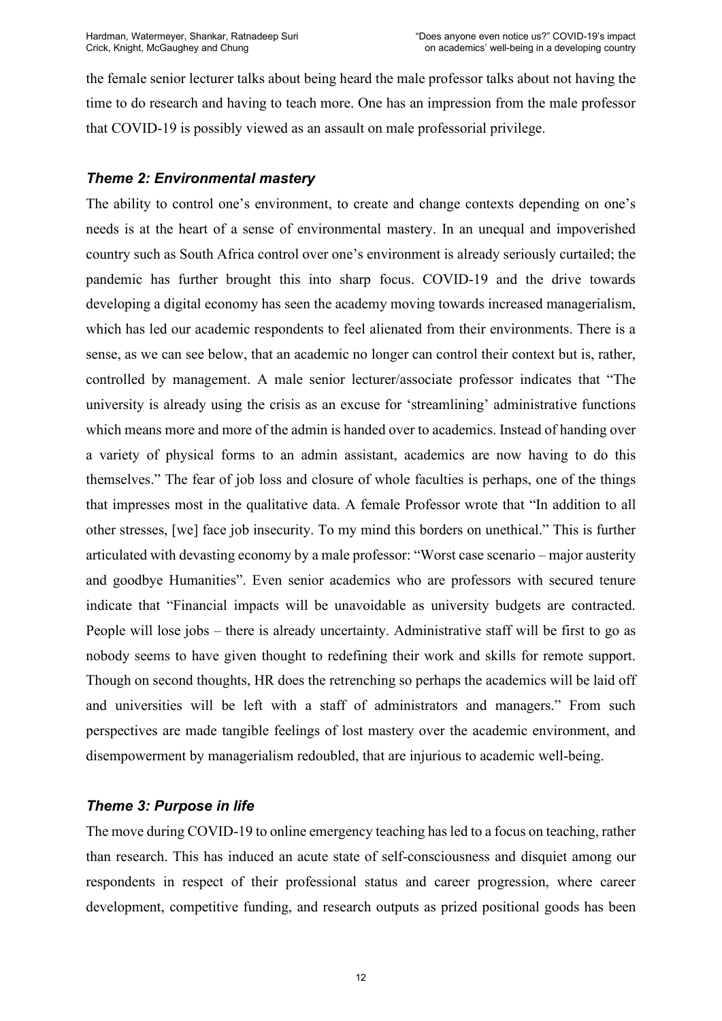the female senior lecturer talks about being heard the male professor talks about not having the time to do research and having to teach more. One has an impression from the male professor that COVID-19 is possibly viewed as an assault on male professorial privilege.

### *Theme 2: Environmental mastery*

The ability to control one's environment, to create and change contexts depending on one's needs is at the heart of a sense of environmental mastery. In an unequal and impoverished country such as South Africa control over one's environment is already seriously curtailed; the pandemic has further brought this into sharp focus. COVID-19 and the drive towards developing a digital economy has seen the academy moving towards increased managerialism, which has led our academic respondents to feel alienated from their environments. There is a sense, as we can see below, that an academic no longer can control their context but is, rather, controlled by management. A male senior lecturer/associate professor indicates that "The university is already using the crisis as an excuse for 'streamlining' administrative functions which means more and more of the admin is handed over to academics. Instead of handing over a variety of physical forms to an admin assistant, academics are now having to do this themselves." The fear of job loss and closure of whole faculties is perhaps, one of the things that impresses most in the qualitative data. A female Professor wrote that "In addition to all other stresses, [we] face job insecurity. To my mind this borders on unethical." This is further articulated with devasting economy by a male professor: "Worst case scenario – major austerity and goodbye Humanities". Even senior academics who are professors with secured tenure indicate that "Financial impacts will be unavoidable as university budgets are contracted. People will lose jobs – there is already uncertainty. Administrative staff will be first to go as nobody seems to have given thought to redefining their work and skills for remote support. Though on second thoughts, HR does the retrenching so perhaps the academics will be laid off and universities will be left with a staff of administrators and managers." From such perspectives are made tangible feelings of lost mastery over the academic environment, and disempowerment by managerialism redoubled, that are injurious to academic well-being.

#### *Theme 3: Purpose in life*

The move during COVID-19 to online emergency teaching has led to a focus on teaching, rather than research. This has induced an acute state of self-consciousness and disquiet among our respondents in respect of their professional status and career progression, where career development, competitive funding, and research outputs as prized positional goods has been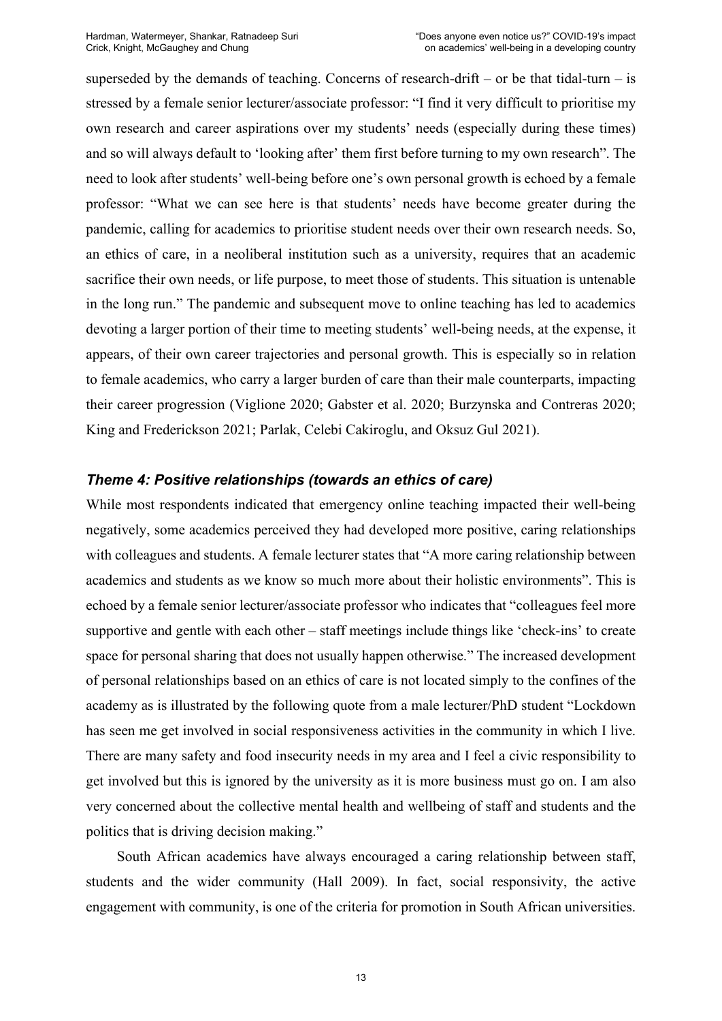superseded by the demands of teaching. Concerns of research-drift – or be that tidal-turn – is stressed by a female senior lecturer/associate professor: "I find it very difficult to prioritise my own research and career aspirations over my students' needs (especially during these times) and so will always default to 'looking after' them first before turning to my own research". The need to look after students' well-being before one's own personal growth is echoed by a female professor: "What we can see here is that students' needs have become greater during the pandemic, calling for academics to prioritise student needs over their own research needs. So, an ethics of care, in a neoliberal institution such as a university, requires that an academic sacrifice their own needs, or life purpose, to meet those of students. This situation is untenable in the long run." The pandemic and subsequent move to online teaching has led to academics devoting a larger portion of their time to meeting students' well-being needs, at the expense, it appears, of their own career trajectories and personal growth. This is especially so in relation to female academics, who carry a larger burden of care than their male counterparts, impacting their career progression (Viglione 2020; Gabster et al. 2020; Burzynska and Contreras 2020; King and Frederickson 2021; Parlak, Celebi Cakiroglu, and Oksuz Gul 2021).

#### *Theme 4: Positive relationships (towards an ethics of care)*

While most respondents indicated that emergency online teaching impacted their well-being negatively, some academics perceived they had developed more positive, caring relationships with colleagues and students. A female lecturer states that "A more caring relationship between academics and students as we know so much more about their holistic environments". This is echoed by a female senior lecturer/associate professor who indicates that "colleagues feel more supportive and gentle with each other – staff meetings include things like 'check-ins' to create space for personal sharing that does not usually happen otherwise." The increased development of personal relationships based on an ethics of care is not located simply to the confines of the academy as is illustrated by the following quote from a male lecturer/PhD student "Lockdown has seen me get involved in social responsiveness activities in the community in which I live. There are many safety and food insecurity needs in my area and I feel a civic responsibility to get involved but this is ignored by the university as it is more business must go on. I am also very concerned about the collective mental health and wellbeing of staff and students and the politics that is driving decision making."

South African academics have always encouraged a caring relationship between staff, students and the wider community (Hall 2009). In fact, social responsivity, the active engagement with community, is one of the criteria for promotion in South African universities.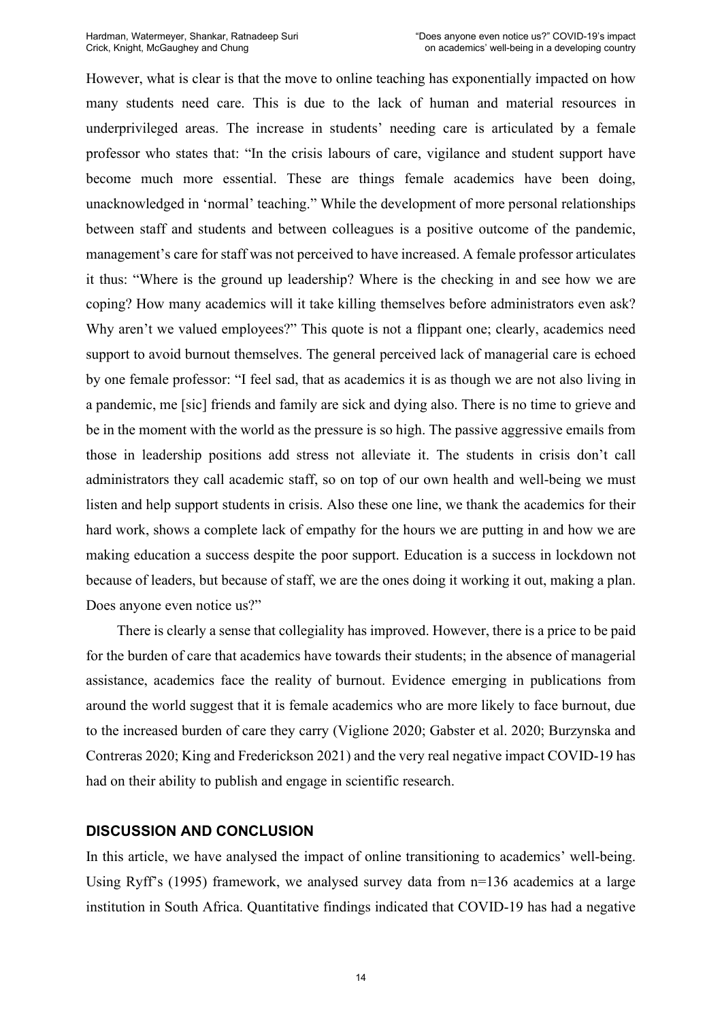However, what is clear is that the move to online teaching has exponentially impacted on how many students need care. This is due to the lack of human and material resources in underprivileged areas. The increase in students' needing care is articulated by a female professor who states that: "In the crisis labours of care, vigilance and student support have become much more essential. These are things female academics have been doing, unacknowledged in 'normal' teaching." While the development of more personal relationships between staff and students and between colleagues is a positive outcome of the pandemic, management's care for staff was not perceived to have increased. A female professor articulates it thus: "Where is the ground up leadership? Where is the checking in and see how we are coping? How many academics will it take killing themselves before administrators even ask? Why aren't we valued employees?" This quote is not a flippant one; clearly, academics need support to avoid burnout themselves. The general perceived lack of managerial care is echoed by one female professor: "I feel sad, that as academics it is as though we are not also living in a pandemic, me [sic] friends and family are sick and dying also. There is no time to grieve and be in the moment with the world as the pressure is so high. The passive aggressive emails from those in leadership positions add stress not alleviate it. The students in crisis don't call administrators they call academic staff, so on top of our own health and well-being we must listen and help support students in crisis. Also these one line, we thank the academics for their hard work, shows a complete lack of empathy for the hours we are putting in and how we are making education a success despite the poor support. Education is a success in lockdown not because of leaders, but because of staff, we are the ones doing it working it out, making a plan. Does anyone even notice us?"

There is clearly a sense that collegiality has improved. However, there is a price to be paid for the burden of care that academics have towards their students; in the absence of managerial assistance, academics face the reality of burnout. Evidence emerging in publications from around the world suggest that it is female academics who are more likely to face burnout, due to the increased burden of care they carry (Viglione 2020; Gabster et al. 2020; Burzynska and Contreras 2020; King and Frederickson 2021) and the very real negative impact COVID-19 has had on their ability to publish and engage in scientific research.

#### **DISCUSSION AND CONCLUSION**

In this article, we have analysed the impact of online transitioning to academics' well-being. Using Ryff's (1995) framework, we analysed survey data from n=136 academics at a large institution in South Africa. Quantitative findings indicated that COVID-19 has had a negative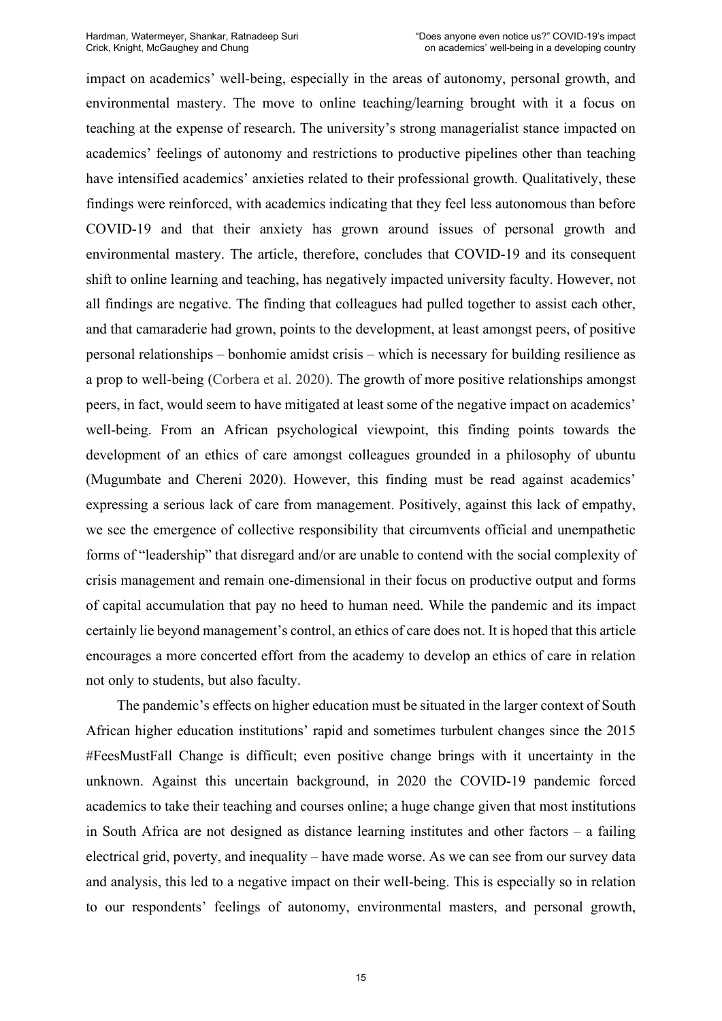impact on academics' well-being, especially in the areas of autonomy, personal growth, and environmental mastery. The move to online teaching/learning brought with it a focus on teaching at the expense of research. The university's strong managerialist stance impacted on academics' feelings of autonomy and restrictions to productive pipelines other than teaching have intensified academics' anxieties related to their professional growth. Qualitatively, these findings were reinforced, with academics indicating that they feel less autonomous than before COVID-19 and that their anxiety has grown around issues of personal growth and environmental mastery. The article, therefore, concludes that COVID-19 and its consequent shift to online learning and teaching, has negatively impacted university faculty. However, not all findings are negative. The finding that colleagues had pulled together to assist each other, and that camaraderie had grown, points to the development, at least amongst peers, of positive personal relationships ‒ bonhomie amidst crisis ‒ which is necessary for building resilience as a prop to well-being (Corbera et al. 2020). The growth of more positive relationships amongst peers, in fact, would seem to have mitigated at least some of the negative impact on academics' well-being. From an African psychological viewpoint, this finding points towards the development of an ethics of care amongst colleagues grounded in a philosophy of ubuntu (Mugumbate and Chereni 2020). However, this finding must be read against academics' expressing a serious lack of care from management. Positively, against this lack of empathy, we see the emergence of collective responsibility that circumvents official and unempathetic forms of "leadership" that disregard and/or are unable to contend with the social complexity of crisis management and remain one-dimensional in their focus on productive output and forms of capital accumulation that pay no heed to human need. While the pandemic and its impact certainly lie beyond management's control, an ethics of care does not. It is hoped that this article encourages a more concerted effort from the academy to develop an ethics of care in relation not only to students, but also faculty.

The pandemic's effects on higher education must be situated in the larger context of South African higher education institutions' rapid and sometimes turbulent changes since the 2015 #FeesMustFall Change is difficult; even positive change brings with it uncertainty in the unknown. Against this uncertain background, in 2020 the COVID-19 pandemic forced academics to take their teaching and courses online; a huge change given that most institutions in South Africa are not designed as distance learning institutes and other factors – a failing electrical grid, poverty, and inequality – have made worse. As we can see from our survey data and analysis, this led to a negative impact on their well-being. This is especially so in relation to our respondents' feelings of autonomy, environmental masters, and personal growth,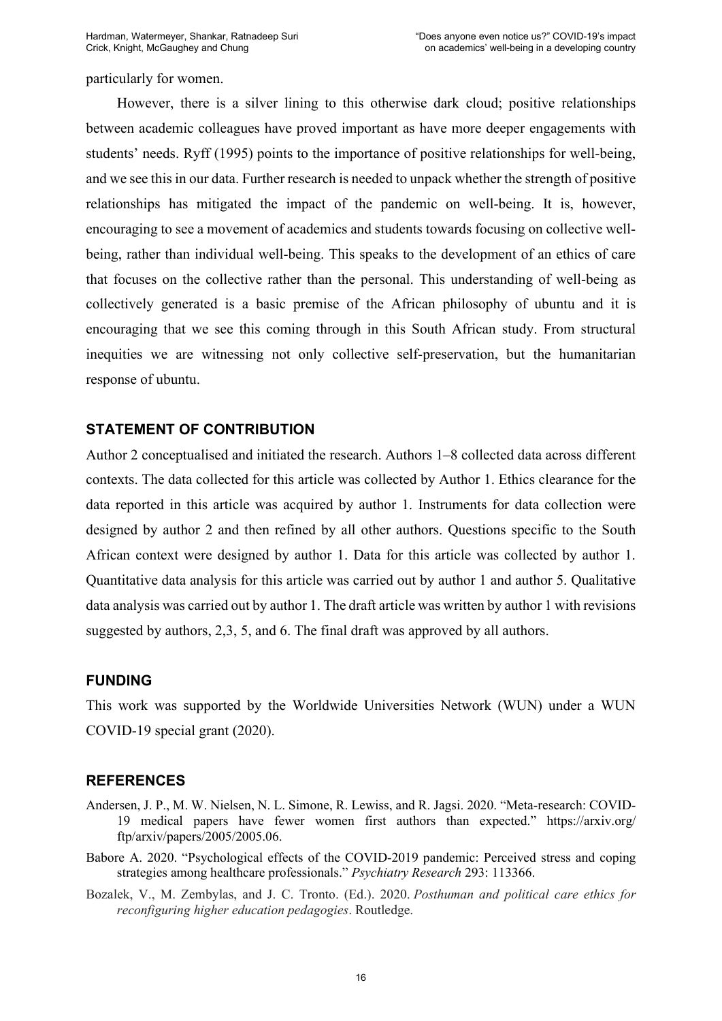particularly for women.

However, there is a silver lining to this otherwise dark cloud; positive relationships between academic colleagues have proved important as have more deeper engagements with students' needs. Ryff (1995) points to the importance of positive relationships for well-being, and we see this in our data. Further research is needed to unpack whether the strength of positive relationships has mitigated the impact of the pandemic on well-being. It is, however, encouraging to see a movement of academics and students towards focusing on collective wellbeing, rather than individual well-being. This speaks to the development of an ethics of care that focuses on the collective rather than the personal. This understanding of well-being as collectively generated is a basic premise of the African philosophy of ubuntu and it is encouraging that we see this coming through in this South African study. From structural inequities we are witnessing not only collective self-preservation, but the humanitarian response of ubuntu.

#### **STATEMENT OF CONTRIBUTION**

Author 2 conceptualised and initiated the research. Authors 1–8 collected data across different contexts. The data collected for this article was collected by Author 1. Ethics clearance for the data reported in this article was acquired by author 1. Instruments for data collection were designed by author 2 and then refined by all other authors. Questions specific to the South African context were designed by author 1. Data for this article was collected by author 1. Quantitative data analysis for this article was carried out by author 1 and author 5. Qualitative data analysis was carried out by author 1. The draft article was written by author 1 with revisions suggested by authors, 2,3, 5, and 6. The final draft was approved by all authors.

#### **FUNDING**

This work was supported by the Worldwide Universities Network (WUN) under a WUN COVID-19 special grant (2020).

#### **REFERENCES**

- Andersen, J. P., M. W. Nielsen, N. L. Simone, R. Lewiss, and R. Jagsi. 2020. "Meta-research: COVID-19 medical papers have fewer women first authors than expected." https://arxiv.org/ ftp/arxiv/papers/2005/2005.06.
- Babore A. 2020. "Psychological effects of the COVID-2019 pandemic: Perceived stress and coping strategies among healthcare professionals." *Psychiatry Research* 293: 113366.
- Bozalek, V., M. Zembylas, and J. C. Tronto. (Ed.). 2020. *Posthuman and political care ethics for reconfiguring higher education pedagogies*. Routledge.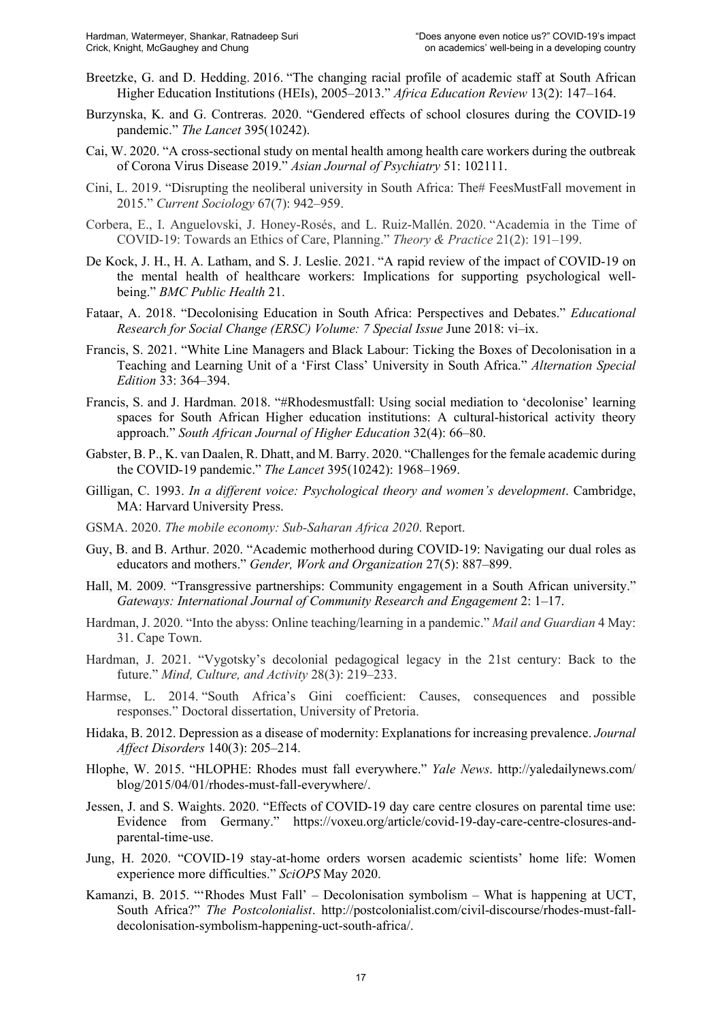- Breetzke, G. and D. Hedding. 2016. "The changing racial profile of academic staff at South African Higher Education Institutions (HEIs), 2005–2013." *Africa Education Review* 13(2): 147–164.
- Burzynska, K. and G. Contreras. 2020. "Gendered effects of school closures during the COVID-19 pandemic." *The Lancet* 395(10242).
- Cai, W. 2020. "A cross-sectional study on mental health among health care workers during the outbreak of Corona Virus Disease 2019." *Asian Journal of Psychiatry* 51: 102111.
- Cini, L. 2019. "Disrupting the neoliberal university in South Africa: The# FeesMustFall movement in 2015." *Current Sociology* 67(7): 942‒959.
- Corbera, E., I. Anguelovski, J. Honey-Rosés, and L. Ruiz-Mallén. 2020. "Academia in the Time of COVID-19: Towards an Ethics of Care, Planning." *Theory & Practice* 21(2): 191‒199.
- De Kock, J. H., H. A. Latham, and S. J. Leslie. 2021. "A rapid review of the impact of COVID-19 on the mental health of healthcare workers: Implications for supporting psychological wellbeing." *BMC Public Health* 21.
- Fataar, A. 2018. "Decolonising Education in South Africa: Perspectives and Debates." *Educational Research for Social Change (ERSC) Volume: 7 Special Issue June 2018: vi-ix.*
- Francis, S. 2021. "White Line Managers and Black Labour: Ticking the Boxes of Decolonisation in a Teaching and Learning Unit of a 'First Class' University in South Africa." *Alternation Special Edition* 33: 364‒394.
- Francis, S. and J. Hardman. 2018. "#Rhodesmustfall: Using social mediation to 'decolonise' learning spaces for South African Higher education institutions: A cultural-historical activity theory approach." *South African Journal of Higher Education* 32(4): 66‒80.
- Gabster, B. P., K. van Daalen, R. Dhatt, and M. Barry. 2020. "Challenges for the female academic during the COVID-19 pandemic." *The Lancet* 395(10242): 1968-1969.
- Gilligan, C. 1993. *In a different voice: Psychological theory and women's development*. Cambridge, MA: Harvard University Press.
- GSMA. 2020. *The mobile economy: Sub-Saharan Africa 2020*. Report.
- Guy, B. and B. Arthur. 2020. "Academic motherhood during COVID-19: Navigating our dual roles as educators and mothers." *Gender, Work and Organization* 27(5): 887‒899.
- Hall, M. 2009. "Transgressive partnerships: Community engagement in a South African university." *Gateways: International Journal of Community Research and Engagement* 2: 1–17.
- Hardman, J. 2020. "Into the abyss: Online teaching/learning in a pandemic." *Mail and Guardian* 4 May: 31. Cape Town.
- Hardman, J. 2021. "Vygotsky's decolonial pedagogical legacy in the 21st century: Back to the future." *Mind, Culture, and Activity* 28(3): 219–233.
- Harmse, L. 2014. "South Africa's Gini coefficient: Causes, consequences and possible responses." Doctoral dissertation, University of Pretoria.
- Hidaka, B. 2012. Depression as a disease of modernity: Explanations for increasing prevalence. *Journal Affect Disorders* 140(3): 205–214.
- Hlophe, W. 2015. "HLOPHE: Rhodes must fall everywhere." *Yale News*. http://yaledailynews.com/ blog/2015/04/01/rhodes-must-fall-everywhere/.
- Jessen, J. and S. Waights. 2020. "Effects of COVID-19 day care centre closures on parental time use: Evidence from Germany." https://voxeu.org/article/covid-19-day-care-centre-closures-andparental-time-use.
- Jung, H. 2020. "COVID-19 stay-at-home orders worsen academic scientists' home life: Women experience more difficulties." *SciOPS* May 2020.
- Kamanzi, B. 2015. "'Rhodes Must Fall' Decolonisation symbolism What is happening at UCT, South Africa?" *The Postcolonialist*. http://postcolonialist.com/civil-discourse/rhodes-must-falldecolonisation-symbolism-happening-uct-south-africa/.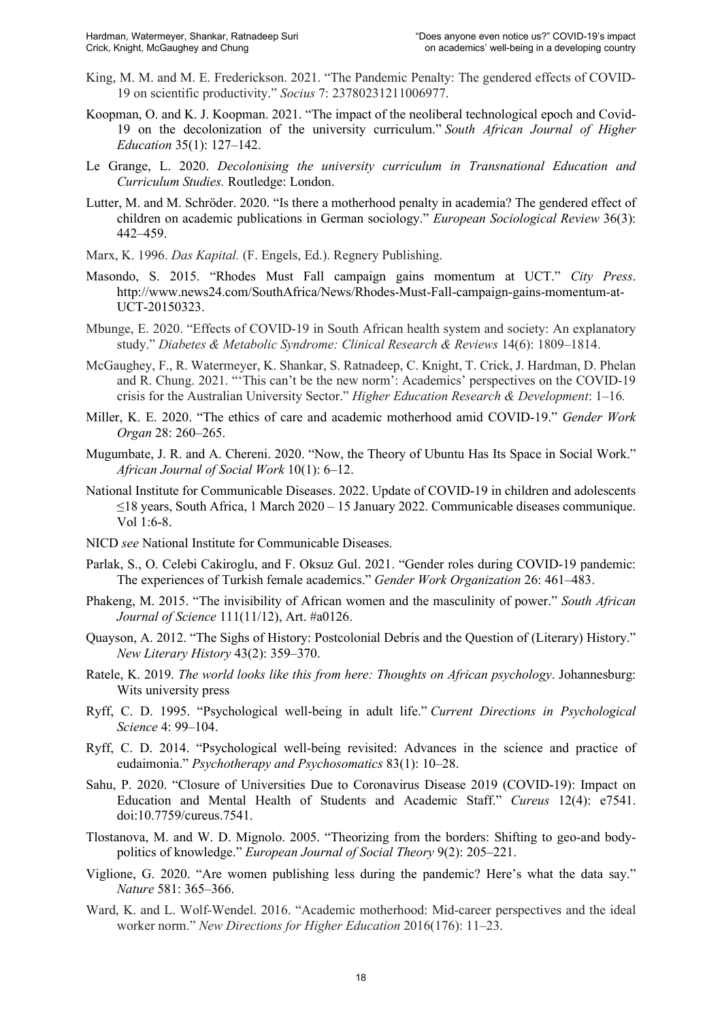- King, M. M. and M. E. Frederickson. 2021. "The Pandemic Penalty: The gendered effects of COVID-19 on scientific productivity." *Socius* 7: 23780231211006977.
- Koopman, O. and K. J. Koopman. 2021. "The impact of the neoliberal technological epoch and Covid-19 on the decolonization of the university curriculum." *South African Journal of Higher Education* 35(1): 127-142.
- Le Grange, L. 2020. *Decolonising the university curriculum in Transnational Education and Curriculum Studies.* Routledge: London.
- Lutter, M. and M. Schröder. 2020. "Is there a motherhood penalty in academia? The gendered effect of children on academic publications in German sociology." *European Sociological Review* 36(3): 442‒459.
- Marx, K. 1996. *Das Kapital.* (F. Engels, Ed.). Regnery Publishing.
- Masondo, S. 2015. "Rhodes Must Fall campaign gains momentum at UCT." *City Press*. http://www.news24.com/SouthAfrica/News/Rhodes-Must-Fall-campaign-gains-momentum-at-UCT-20150323.
- Mbunge, E. 2020. "Effects of COVID-19 in South African health system and society: An explanatory study." *Diabetes & Metabolic Syndrome: Clinical Research & Reviews* 14(6): 1809–1814.
- McGaughey, F., R. Watermeyer, K. Shankar, S. Ratnadeep, C. Knight, T. Crick, J. Hardman, D. Phelan and R. Chung. 2021. "'This can't be the new norm': Academics' perspectives on the COVID-19 crisis for the Australian University Sector." *Higher Education Research & Development*: 1‒16*.*
- Miller, K. E. 2020. "The ethics of care and academic motherhood amid COVID‐19." *Gender Work Organ* 28: 260‒265.
- Mugumbate, J. R. and A. Chereni. 2020. "Now, the Theory of Ubuntu Has Its Space in Social Work." *African Journal of Social Work* 10(1): 6‒12.
- National Institute for Communicable Diseases. 2022. Update of COVID-19 in children and adolescents ≤18 years, South Africa, 1 March 2020 – 15 January 2022. Communicable diseases communique. Vol 1:6-8.
- NICD *see* National Institute for Communicable Diseases.
- Parlak, S., O. Celebi Cakiroglu, and F. Oksuz Gul. 2021. "Gender roles during COVID-19 pandemic: The experiences of Turkish female academics." *Gender Work Organization* 26: 461–483.
- Phakeng, M. 2015. "The invisibility of African women and the masculinity of power." *South African Journal of Science* 111(11/12), Art. #a0126.
- Quayson, A. 2012. "The Sighs of History: Postcolonial Debris and the Question of (Literary) History." *New Literary History* 43(2): 359‒370.
- Ratele, K. 2019. *The world looks like this from here: Thoughts on African psychology*. Johannesburg: Wits university press
- Ryff, C. D. 1995. "Psychological well-being in adult life." *Current Directions in Psychological Science* 4: 99–104.
- Ryff, C. D. 2014. "Psychological well-being revisited: Advances in the science and practice of eudaimonia." *Psychotherapy and Psychosomatics* 83(1): 10–28.
- Sahu, P. 2020. "Closure of Universities Due to Coronavirus Disease 2019 (COVID-19): Impact on Education and Mental Health of Students and Academic Staff." *Cureus* 12(4): e7541. doi:10.7759/cureus.7541.
- Tlostanova, M. and W. D. Mignolo. 2005. "Theorizing from the borders: Shifting to geo-and bodypolitics of knowledge." *European Journal of Social Theory* 9(2): 205–221.
- Viglione, G. 2020. "Are women publishing less during the pandemic? Here's what the data say." *Nature* 581: 365‒366.
- Ward, K. and L. Wolf-Wendel. 2016. "Academic motherhood: Mid-career perspectives and the ideal worker norm." *New Directions for Higher Education* 2016(176): 11‒23.